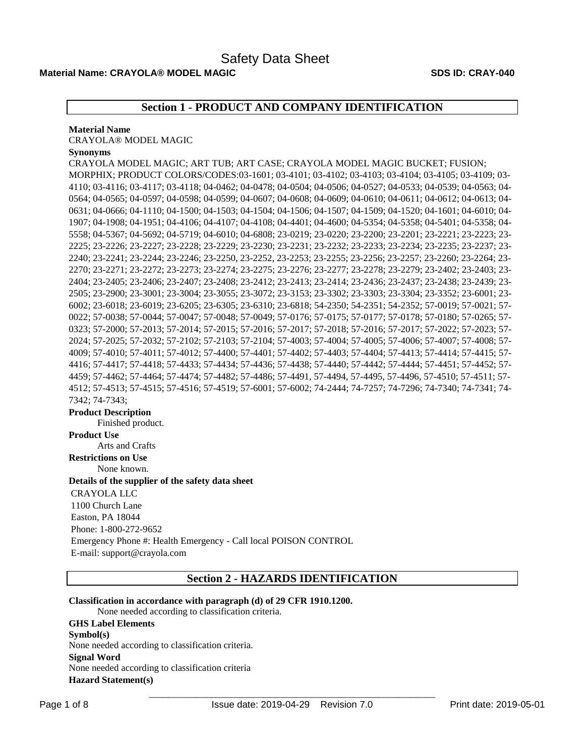# **Material Name: CRAYOLA® MODEL MAGIC SDS ID: CRAY-040**

# **Section 1 - PRODUCT AND COMPANY IDENTIFICATION**

#### **Material Name**

CRAYOLA® MODEL MAGIC

## **Synonyms**

CRAYOLA MODEL MAGIC; ART TUB; ART CASE; CRAYOLA MODEL MAGIC BUCKET; FUSION; MORPHIX; PRODUCT COLORS/CODES:03-1601; 03-4101; 03-4102; 03-4103; 03-4104; 03-4105; 03-4109; 03- 4110; 03-4116; 03-4117; 03-4118; 04-0462; 04-0478; 04-0504; 04-0506; 04-0527; 04-0533; 04-0539; 04-0563; 04- 0564; 04-0565; 04-0597; 04-0598; 04-0599; 04-0607; 04-0608; 04-0609; 04-0610; 04-0611; 04-0612; 04-0613; 04- 0631; 04-0666; 04-1110; 04-1500; 04-1503; 04-1504; 04-1506; 04-1507; 04-1509; 04-1520; 04-1601; 04-6010; 04- 1907; 04-1908; 04-1951; 04-4106; 04-4107; 04-4108; 04-4401; 04-4600; 04-5354; 04-5358; 04-5401; 04-5358; 04- 5558; 04-5367; 04-5692; 04-5719; 04-6010; 04-6808; 23-0219; 23-0220; 23-2200; 23-2201; 23-2221; 23-2223; 23- 2225; 23-2226; 23-2227; 23-2228; 23-2229; 23-2230; 23-2231; 23-2232; 23-2233; 23-2234; 23-2235; 23-2237; 23- 2240; 23-2241; 23-2244; 23-2246; 23-2250, 23-2252, 23-2253; 23-2255; 23-2256; 23-2257; 23-2260; 23-2264; 23- 2270; 23-2271; 23-2272; 23-2273; 23-2274; 23-2275; 23-2276; 23-2277; 23-2278; 23-2279; 23-2402; 23-2403; 23- 2404; 23-2405; 23-2406; 23-2407; 23-2408; 23-2412; 23-2413; 23-2414; 23-2436; 23-2437; 23-2438; 23-2439; 23- 2505; 23-2900; 23-3001; 23-3004; 23-3055; 23-3072; 23-3153; 23-3302; 23-3303; 23-3304; 23-3352; 23-6001; 23- 6002; 23-6018; 23-6019; 23-6205; 23-6305; 23-6310; 23-6818; 54-2350; 54-2351; 54-2352; 57-0019; 57-0021; 57- 0022; 57-0038; 57-0044; 57-0047; 57-0048; 57-0049; 57-0176; 57-0175; 57-0177; 57-0178; 57-0180; 57-0265; 57- 0323; 57-2000; 57-2013; 57-2014; 57-2015; 57-2016; 57-2017; 57-2018; 57-2016; 57-2017; 57-2022; 57-2023; 57- 2024; 57-2025; 57-2032; 57-2102; 57-2103; 57-2104; 57-4003; 57-4004; 57-4005; 57-4006; 57-4007; 57-4008; 57- 4009; 57-4010; 57-4011; 57-4012; 57-4400; 57-4401; 57-4402; 57-4403; 57-4404; 57-4413; 57-4414; 57-4415; 57- 4416; 57-4417; 57-4418; 57-4433; 57-4434; 57-4436; 57-4438; 57-4440; 57-4442; 57-4444; 57-4451; 57-4452; 57- 4459; 57-4462; 57-4464; 57-4474; 57-4482; 57-4486; 57-4491, 57-4494, 57-4495, 57-4496, 57-4510; 57-4511; 57- 4512; 57-4513; 57-4515; 57-4516; 57-4519; 57-6001; 57-6002; 74-2444; 74-7257; 74-7296; 74-7340; 74-7341; 74- 7342; 74-7343;

#### **Product Description**

Finished product. **Product Use** Arts and Crafts **Restrictions on Use** None known. **Details of the supplier of the safety data sheet** CRAYOLA LLC 1100 Church Lane Easton, PA 18044 Phone: 1-800-272-9652 Emergency Phone #: Health Emergency - Call local POISON CONTROL E-mail: support@crayola.com

**Section 2 - HAZARDS IDENTIFICATION**

# **Classification in accordance with paragraph (d) of 29 CFR 1910.1200.**

None needed according to classification criteria. **GHS Label Elements Symbol(s)**  None needed according to classification criteria. **Signal Word**  None needed according to classification criteria **Hazard Statement(s)**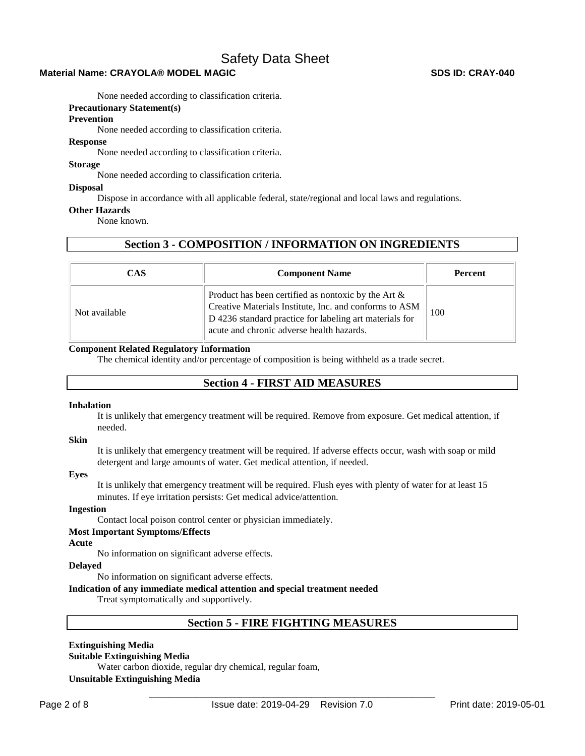# **Material Name: CRAYOLA® MODEL MAGIC SDS ID: CRAY-040**

None needed according to classification criteria.

# **Precautionary Statement(s)**

#### **Prevention**

None needed according to classification criteria.

## **Response**

None needed according to classification criteria.

### **Storage**

None needed according to classification criteria.

#### **Disposal**

Dispose in accordance with all applicable federal, state/regional and local laws and regulations.

#### **Other Hazards**

None known.

# **Section 3 - COMPOSITION / INFORMATION ON INGREDIENTS**

| <b>CAS</b>    | <b>Component Name</b>                                                                                                                                                                                                    | <b>Percent</b> |
|---------------|--------------------------------------------------------------------------------------------------------------------------------------------------------------------------------------------------------------------------|----------------|
| Not available | Product has been certified as nontoxic by the Art $\&$<br>Creative Materials Institute, Inc. and conforms to ASM<br>D 4236 standard practice for labeling art materials for<br>acute and chronic adverse health hazards. | 100            |

# **Component Related Regulatory Information**

The chemical identity and/or percentage of composition is being withheld as a trade secret.

# **Section 4 - FIRST AID MEASURES**

#### **Inhalation**

It is unlikely that emergency treatment will be required. Remove from exposure. Get medical attention, if needed.

#### **Skin**

It is unlikely that emergency treatment will be required. If adverse effects occur, wash with soap or mild detergent and large amounts of water. Get medical attention, if needed.

#### **Eyes**

It is unlikely that emergency treatment will be required. Flush eyes with plenty of water for at least 15 minutes. If eye irritation persists: Get medical advice/attention.

# **Ingestion**

Contact local poison control center or physician immediately.

#### **Most Important Symptoms/Effects**

# **Acute**

No information on significant adverse effects.

#### **Delayed**

No information on significant adverse effects.

# **Indication of any immediate medical attention and special treatment needed**

Treat symptomatically and supportively.

# **Section 5 - FIRE FIGHTING MEASURES**

# **Extinguishing Media**

# **Suitable Extinguishing Media**

Water carbon dioxide, regular dry chemical, regular foam,

**Unsuitable Extinguishing Media**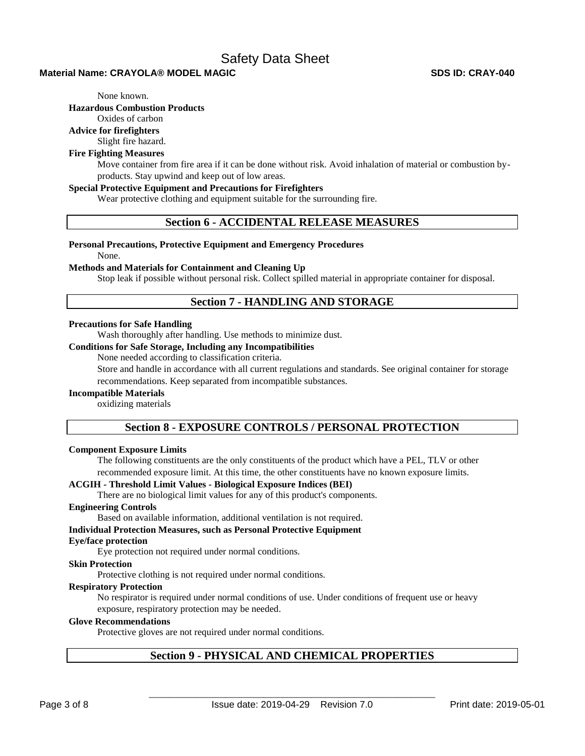## **Material Name: CRAYOLA® MODEL MAGIC SDS ID: CRAY-040**

None known.

**Hazardous Combustion Products** 

Oxides of carbon

**Advice for firefighters** 

Slight fire hazard.

# **Fire Fighting Measures**

Move container from fire area if it can be done without risk. Avoid inhalation of material or combustion byproducts. Stay upwind and keep out of low areas.

### **Special Protective Equipment and Precautions for Firefighters**

Wear protective clothing and equipment suitable for the surrounding fire.

# **Section 6 - ACCIDENTAL RELEASE MEASURES**

#### **Personal Precautions, Protective Equipment and Emergency Procedures**

None.

#### **Methods and Materials for Containment and Cleaning Up**

Stop leak if possible without personal risk. Collect spilled material in appropriate container for disposal.

# **Section 7 - HANDLING AND STORAGE**

#### **Precautions for Safe Handling**

Wash thoroughly after handling. Use methods to minimize dust.

# **Conditions for Safe Storage, Including any Incompatibilities**

None needed according to classification criteria.

Store and handle in accordance with all current regulations and standards. See original container for storage recommendations. Keep separated from incompatible substances.

#### **Incompatible Materials**

oxidizing materials

# **Section 8 - EXPOSURE CONTROLS / PERSONAL PROTECTION**

#### **Component Exposure Limits**

The following constituents are the only constituents of the product which have a PEL, TLV or other recommended exposure limit. At this time, the other constituents have no known exposure limits.

#### **ACGIH - Threshold Limit Values - Biological Exposure Indices (BEI)**

There are no biological limit values for any of this product's components.

#### **Engineering Controls**

Based on available information, additional ventilation is not required.

#### **Individual Protection Measures, such as Personal Protective Equipment**

#### **Eye/face protection**

Eye protection not required under normal conditions.

#### **Skin Protection**

Protective clothing is not required under normal conditions.

#### **Respiratory Protection**

No respirator is required under normal conditions of use. Under conditions of frequent use or heavy exposure, respiratory protection may be needed.

# **Glove Recommendations**

Protective gloves are not required under normal conditions.

# **Section 9 - PHYSICAL AND CHEMICAL PROPERTIES**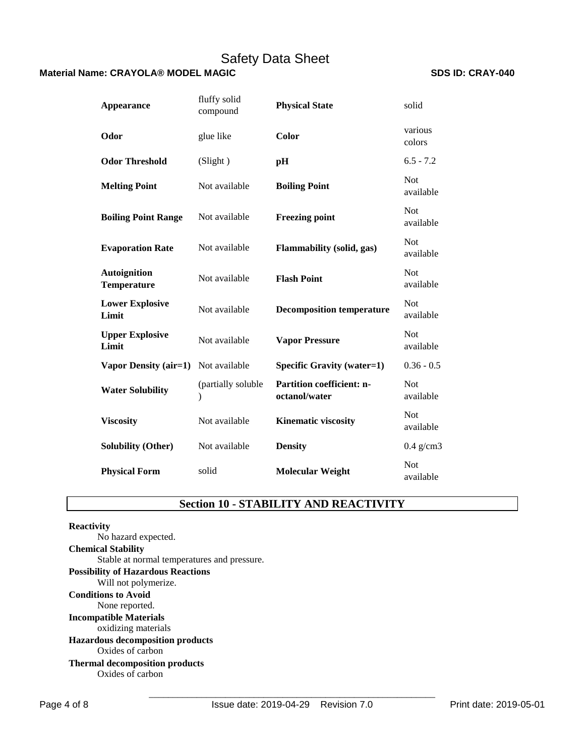# **Material Name: CRAYOLA® MODEL MAGIC SDS ID: CRAY-040 SDS ID: CRAY-040**

| <b>Appearance</b>                         | fluffy solid<br>compound | <b>Physical State</b>                             | solid                   |
|-------------------------------------------|--------------------------|---------------------------------------------------|-------------------------|
| Odor                                      | glue like                | Color                                             | various<br>colors       |
| <b>Odor Threshold</b>                     | (Slight)                 | pH                                                | $6.5 - 7.2$             |
| <b>Melting Point</b>                      | Not available            | <b>Boiling Point</b>                              | <b>Not</b><br>available |
| <b>Boiling Point Range</b>                | Not available            | <b>Freezing point</b>                             | <b>Not</b><br>available |
| <b>Evaporation Rate</b>                   | Not available            | Flammability (solid, gas)                         | <b>Not</b><br>available |
| <b>Autoignition</b><br><b>Temperature</b> | Not available            | <b>Flash Point</b>                                | <b>Not</b><br>available |
| <b>Lower Explosive</b><br>Limit           | Not available            | <b>Decomposition temperature</b>                  | <b>Not</b><br>available |
| <b>Upper Explosive</b><br>Limit           | Not available            | <b>Vapor Pressure</b>                             | <b>Not</b><br>available |
| <b>Vapor Density (air=1)</b>              | Not available            | <b>Specific Gravity (water=1)</b>                 | $0.36 - 0.5$            |
| <b>Water Solubility</b>                   | (partially soluble<br>∖  | <b>Partition coefficient: n-</b><br>octanol/water | <b>Not</b><br>available |
| <b>Viscosity</b>                          | Not available            | <b>Kinematic viscosity</b>                        | <b>Not</b><br>available |
| <b>Solubility (Other)</b>                 | Not available            | <b>Density</b>                                    | $0.4$ g/cm3             |
| <b>Physical Form</b>                      | solid                    | <b>Molecular Weight</b>                           | <b>Not</b><br>available |

# **Section 10 - STABILITY AND REACTIVITY**

# **Reactivity**  No hazard expected. **Chemical Stability** Stable at normal temperatures and pressure. **Possibility of Hazardous Reactions** Will not polymerize. **Conditions to Avoid** None reported. **Incompatible Materials** oxidizing materials **Hazardous decomposition products**  Oxides of carbon **Thermal decomposition products**  Oxides of carbon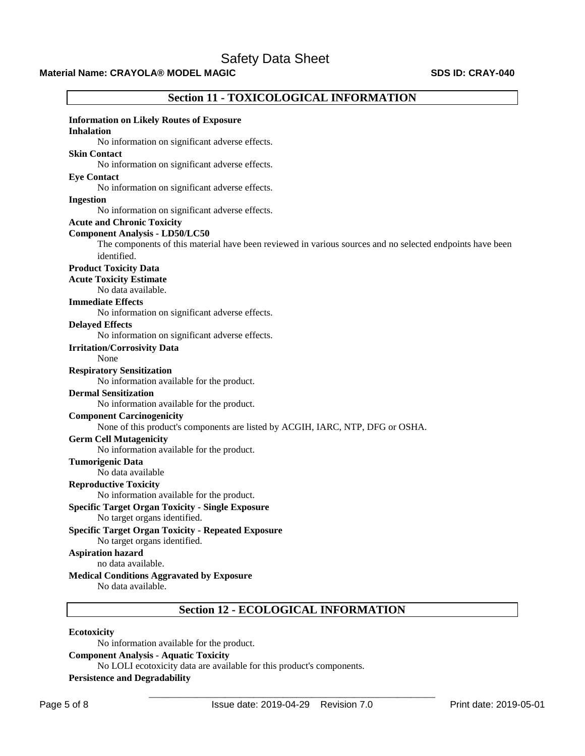# **Material Name: CRAYOLA® MODEL MAGIC SDS ID: CRAY-040 SDS ID: CRAY-040**

| <b>Section 11 - TOXICOLOGICAL INFORMATION</b>                                                             |
|-----------------------------------------------------------------------------------------------------------|
| <b>Information on Likely Routes of Exposure</b>                                                           |
| <b>Inhalation</b>                                                                                         |
| No information on significant adverse effects.                                                            |
| <b>Skin Contact</b>                                                                                       |
| No information on significant adverse effects.                                                            |
| <b>Eye Contact</b>                                                                                        |
| No information on significant adverse effects.                                                            |
| <b>Ingestion</b>                                                                                          |
| No information on significant adverse effects.                                                            |
| <b>Acute and Chronic Toxicity</b>                                                                         |
| <b>Component Analysis - LD50/LC50</b>                                                                     |
| The components of this material have been reviewed in various sources and no selected endpoints have been |
| identified.                                                                                               |
| <b>Product Toxicity Data</b>                                                                              |
| <b>Acute Toxicity Estimate</b>                                                                            |
| No data available.                                                                                        |
| <b>Immediate Effects</b>                                                                                  |
| No information on significant adverse effects.                                                            |
| <b>Delayed Effects</b>                                                                                    |
| No information on significant adverse effects.                                                            |
| <b>Irritation/Corrosivity Data</b>                                                                        |
| None                                                                                                      |
| <b>Respiratory Sensitization</b>                                                                          |
| No information available for the product.                                                                 |
| <b>Dermal Sensitization</b>                                                                               |
| No information available for the product.                                                                 |
| <b>Component Carcinogenicity</b>                                                                          |
| None of this product's components are listed by ACGIH, IARC, NTP, DFG or OSHA.                            |
| <b>Germ Cell Mutagenicity</b>                                                                             |
| No information available for the product.                                                                 |
| <b>Tumorigenic Data</b>                                                                                   |
| No data available                                                                                         |
| <b>Reproductive Toxicity</b>                                                                              |
| No information available for the product.                                                                 |
| <b>Specific Target Organ Toxicity - Single Exposure</b>                                                   |
| No target organs identified.                                                                              |
| <b>Specific Target Organ Toxicity - Repeated Exposure</b>                                                 |
| No target organs identified.                                                                              |
| <b>Aspiration hazard</b>                                                                                  |
| no data available.                                                                                        |
| <b>Medical Conditions Aggravated by Exposure</b>                                                          |
| No data available.                                                                                        |
| <b>Section 12 - ECOLOGICAL INFORMATION</b>                                                                |

**Ecotoxicity** 

No information available for the product. **Component Analysis - Aquatic Toxicity**  No LOLI ecotoxicity data are available for this product's components. **Persistence and Degradability**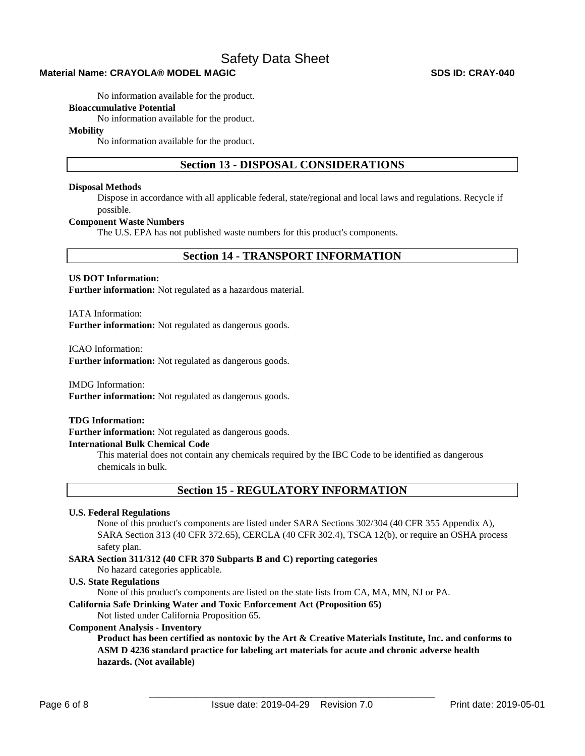# **Material Name: CRAYOLA® MODEL MAGIC SDS ID: CRAY-040**

No information available for the product.

#### **Bioaccumulative Potential**

No information available for the product.

### **Mobility**

No information available for the product.

# **Section 13 - DISPOSAL CONSIDERATIONS**

#### **Disposal Methods**

Dispose in accordance with all applicable federal, state/regional and local laws and regulations. Recycle if possible.

### **Component Waste Numbers**

The U.S. EPA has not published waste numbers for this product's components.

# **Section 14 - TRANSPORT INFORMATION**

### **US DOT Information:**

**Further information:** Not regulated as a hazardous material.

IATA Information:

**Further information:** Not regulated as dangerous goods.

ICAO Information:

**Further information:** Not regulated as dangerous goods.

IMDG Information:

**Further information:** Not regulated as dangerous goods.

#### **TDG Information:**

**Further information:** Not regulated as dangerous goods.

# **International Bulk Chemical Code**

This material does not contain any chemicals required by the IBC Code to be identified as dangerous chemicals in bulk.

# **Section 15 - REGULATORY INFORMATION**

#### **U.S. Federal Regulations**

None of this product's components are listed under SARA Sections 302/304 (40 CFR 355 Appendix A), SARA Section 313 (40 CFR 372.65), CERCLA (40 CFR 302.4), TSCA 12(b), or require an OSHA process safety plan.

# **SARA Section 311/312 (40 CFR 370 Subparts B and C) reporting categories**

No hazard categories applicable.

## **U.S. State Regulations**

None of this product's components are listed on the state lists from CA, MA, MN, NJ or PA.

### **California Safe Drinking Water and Toxic Enforcement Act (Proposition 65)**

Not listed under California Proposition 65.

### **Component Analysis - Inventory**

**Product has been certified as nontoxic by the Art & Creative Materials Institute, Inc. and conforms to ASM D 4236 standard practice for labeling art materials for acute and chronic adverse health hazards. (Not available)**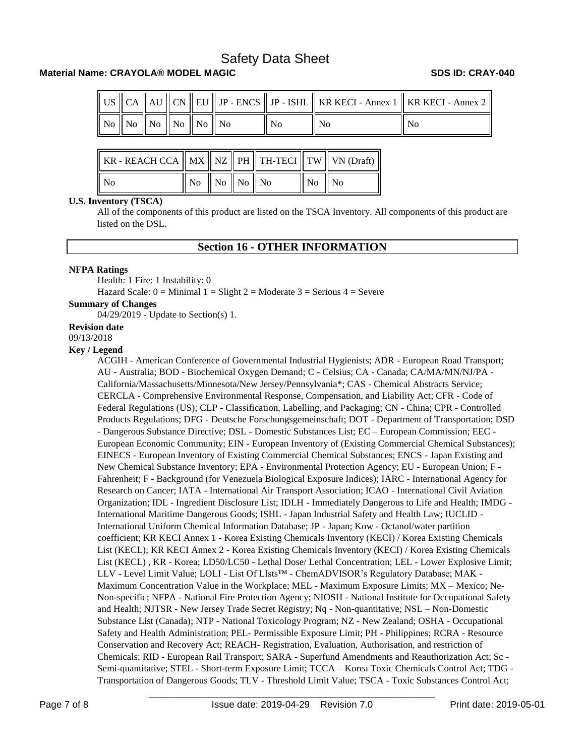# **Material Name: CRAYOLA® MODEL MAGIC SDS ID: CRAY-040**

|  |                                                                                                       |  |  |                | $\parallel$ US $\parallel$ CA $\parallel$ AU $\parallel$ CN $\parallel$ EU $\parallel$ JP - ENCS $\parallel$ JP - ISHL $\parallel$ KR KECI - Annex 1 $\parallel$ KR KECI - Annex 2 $\parallel$ |
|--|-------------------------------------------------------------------------------------------------------|--|--|----------------|------------------------------------------------------------------------------------------------------------------------------------------------------------------------------------------------|
|  | $\parallel$ No $\parallel$ No $\parallel$ No $\parallel$ No $\parallel$ No $\parallel$ No $\parallel$ |  |  | N <sub>0</sub> | l No                                                                                                                                                                                           |

| KR - REACH CCA    MX    NZ    PH    TH-TECI    TW    VN (Draft) |                                                             |  |                                              |  |
|-----------------------------------------------------------------|-------------------------------------------------------------|--|----------------------------------------------|--|
| ll No                                                           | $\parallel$ No $\parallel$ No $\parallel$ No $\parallel$ No |  | $\overline{N}$ $\overline{N}$ $\overline{N}$ |  |

#### **U.S. Inventory (TSCA)**

All of the components of this product are listed on the TSCA Inventory. All components of this product are listed on the DSL.

# **Section 16 - OTHER INFORMATION**

### **NFPA Ratings**

Health: 1 Fire: 1 Instability: 0 Hazard Scale:  $0 =$  Minimal  $1 =$  Slight  $2 =$  Moderate  $3 =$  Serious  $4 =$  Severe

#### **Summary of Changes**

04/29/2019 - Update to Section(s) 1.

#### **Revision date**

09/13/2018

### **Key / Legend**

ACGIH - American Conference of Governmental Industrial Hygienists; ADR - European Road Transport; AU - Australia; BOD - Biochemical Oxygen Demand; C - Celsius; CA - Canada; CA/MA/MN/NJ/PA - California/Massachusetts/Minnesota/New Jersey/Pennsylvania\*; CAS - Chemical Abstracts Service; CERCLA - Comprehensive Environmental Response, Compensation, and Liability Act; CFR - Code of Federal Regulations (US); CLP - Classification, Labelling, and Packaging; CN - China; CPR - Controlled Products Regulations; DFG - Deutsche Forschungsgemeinschaft; DOT - Department of Transportation; DSD - Dangerous Substance Directive; DSL - Domestic Substances List; EC – European Commission; EEC - European Economic Community; EIN - European Inventory of (Existing Commercial Chemical Substances); EINECS - European Inventory of Existing Commercial Chemical Substances; ENCS - Japan Existing and New Chemical Substance Inventory; EPA - Environmental Protection Agency; EU - European Union; F - Fahrenheit; F - Background (for Venezuela Biological Exposure Indices); IARC - International Agency for Research on Cancer; IATA - International Air Transport Association; ICAO - International Civil Aviation Organization; IDL - Ingredient Disclosure List; IDLH - Immediately Dangerous to Life and Health; IMDG - International Maritime Dangerous Goods; ISHL - Japan Industrial Safety and Health Law; IUCLID - International Uniform Chemical Information Database; JP - Japan; Kow - Octanol/water partition coefficient; KR KECI Annex 1 - Korea Existing Chemicals Inventory (KECI) / Korea Existing Chemicals List (KECL); KR KECI Annex 2 - Korea Existing Chemicals Inventory (KECI) / Korea Existing Chemicals List (KECL) , KR - Korea; LD50/LC50 - Lethal Dose/ Lethal Concentration; LEL - Lower Explosive Limit; LLV - Level Limit Value; LOLI - List Of LIsts™ - ChemADVISOR's Regulatory Database; MAK - Maximum Concentration Value in the Workplace; MEL - Maximum Exposure Limits; MX – Mexico; Ne-Non-specific; NFPA - National Fire Protection Agency; NIOSH - National Institute for Occupational Safety and Health; NJTSR - New Jersey Trade Secret Registry; Nq - Non-quantitative; NSL – Non-Domestic Substance List (Canada); NTP - National Toxicology Program; NZ - New Zealand; OSHA - Occupational Safety and Health Administration; PEL- Permissible Exposure Limit; PH - Philippines; RCRA - Resource Conservation and Recovery Act; REACH- Registration, Evaluation, Authorisation, and restriction of Chemicals; RID - European Rail Transport; SARA - Superfund Amendments and Reauthorization Act; Sc - Semi-quantitative; STEL - Short-term Exposure Limit; TCCA – Korea Toxic Chemicals Control Act; TDG - Transportation of Dangerous Goods; TLV - Threshold Limit Value; TSCA - Toxic Substances Control Act;